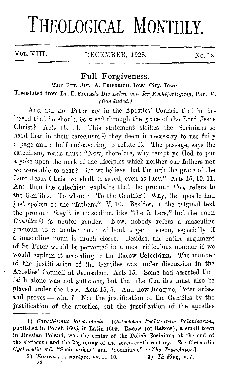## THEOLOGICAL MONTHLY.

VOL. VIII. DECEMBER, 1928. No. 12.

## **Full Forgiveness.**

THE REV. JUL. A. FRIEDRICH, Iowa City, Iowa.

Translated from Dr. E. Preuss's *Die Lehre von der Rechtfertigmig,* Part V. *(Ooncluded.)* ·

And did not Peter say in the Apostles' Council that he believed that he should be saved through the grace of the Lord Jesus Christ? Acts 15, 11. This statement strikes the Socinians so hard that in their catechism<sup>1</sup>) they deem it necessary to use fully a page and a half endeavoring to refute it. The passage, says the catechism, reads thus: "Now, therefore, why tempt ye God to put a yoke upon the neck of the disciples which neither our fathers nor we were able to bear? But we believe that through the grace of the Lord Jesus Christ we shall he saved, even as they." Acts 15, 10. 11. And then the catechism explains that the pronoun *they* refers to the Gentiles. To whom? To the Gentiles? Why, the apostle had just spoken of the "fathers." V. 10. Besides, in the original text the pronoun *they* <sup>2</sup>) is masculine, like "the fathers," but the noun *Gentiles* 3) is neuter gender. Now, nobody refers a masculine pronoun to a neuter noun without urgent reason, especially if a masculine noun is much closer. Besides, the entire argument of St. Peter would be perverted in a most ridiculous manner if we would explain it according to the Racow Catechism. The manner of the justification of the Gentiles was under discussion in the Apostles' Council at Jerusalem. Acts 15. Some had asserted that faith alone was not sufficient, but that the Gentiles must also be placed under the Law. Acts 15, 5. And now imagine, Peter arises and proves - what? Not the justification of the Gentiles by the justification of the apostles, but the justification of the apostles

<sup>1)</sup> Catechismus Racoviensis. [Catechesis Ecclesiarum Polonicarum, published in Polish 1605, in Latin 1600. Racow (or Rakow), a small town in Russian Poland, was the center of the Polish Socinians at the end of the sixteenth and the beginning of the seventeenth century. See *Concordia Cyclopedia* sub "Socininnism" and "Socinians." - *The Translator.]* 

<sup>2)</sup> *'Exeivor*...  $\pi a \tau \epsilon_0 \epsilon \epsilon$ , *vv.* 11. 10. 3) Tà  $\epsilon \theta \nu \eta$ , v. 7. 23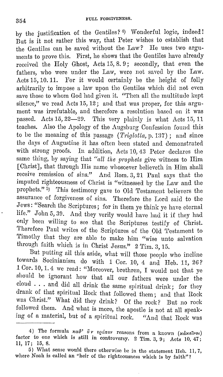by the justification of the Gentiles? 4) Wonderful logic, indeed! But is it not rather this way, that Peter wishes to establish that the Gentiles can be saved without the Law? He uses two arguments to prove this. First, he shows that the Gentiles have already received the Holy Ghost, Acts 15, 8. 9; secondly, that even the fathers, who were under the Law, were not saved by the Law. Acts 15, 10. 11. For it would. certainly be the height of folly arbitrarily to impose a law upon the Gentiles which did not even save those to whom God had given it. "Then all the multitude kept silence," we read Acts 15, 12; and that was proper, for this argument was irrefutable, and therefore a resolution based on it was passed. Acts 15, 22-29. This very plainly is what Acts 15, 11 teaches. Also the Apology of the Augsburg Confession found this to be the meaning of this passage *(Triglotta, p. 137)*; and since the days of Augustine it has often been stated and demonstrated with strong proofs. In addition, Acts 10, 43 Peter declares the same thing, by saying that *"all the prophets* give witness to Him [Christ], that through His name whosoever believeth in Him shall receive remission of sins." And Rom. 3, 21 Paul says that the imputed righteousness of Christ is "witnessed by the Law and the prophets."  $\bar{5}$ ) This testimony gave to Old Testament believers the assurance of forgiveness of sins. Therefore the Lord said to the Jews: "Search the Scriptures; for in them ye think ye have eternal life." John 5, 39. And they verily would have had it if they had only been willing to see that the Scriptures testify of Christ. Therefore Paul writes of the Scriptures of the Old Testament to 'l'imothy that they are able to make him "wise unto salvation through faith which is in Christ Jesus." 2 Tim. 3, 15.

But putting all this aside, what will those people who incline towards Socinianism do with 1 Cor. 10, 4 and Heb. 11, 26? 1 Cor. 10, 1. 4 we read: "Moreover, brethren, I would not that ye should be ignorant how that all our fathers were under the cloud · . , and did all drink the same spiritual drink; for they drank of that spiritual Rock that followed them; and that Rock was Christ." What did they drink? Of the rock? But no rock followed them. And what is more, the apostle is not at all speaking of a material, but of a spiritual rock. "And that Rock was

<sup>4)</sup> The formula *κα*θ' δ ν τρόπον reasons from a known (κάκεϊνοι) factor to one which is still in controversy. 2 Tim. 3, 9; Acts 10, 47; 11, 17; 15, 8.

<sup>5)</sup> Wliat sense would there otherwise be in the statement Heb. 11, 7, where Noah is called an "heir of the righteousness which is by faith"?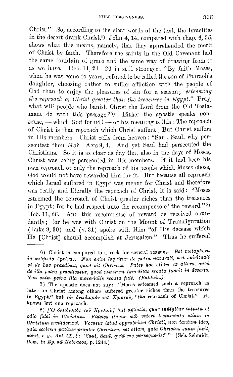Christ." So, according to the clear words of the text, the Israelites in the desert drank Christ.<sup>6</sup>) John 4, 14, compared with chap.  $6, 35,$ shows what this means, namely, that they apprehended the merit of Christ by faith. Therefore the saints in the Old Covenant had the same fountain of grace and the same way of drawing from it as we have. Heb.  $11, 24-26$  is still stronger: "By faith Moses, when he was come to years, refused to be called the son of Pharaoh's daughter, choosing rather to suffer aflliction with the people of God than to enjoy the pleasures of sin for a season; *esteeming the reproach of Christ greater than the treasures in Egypt.*" Pray, what will people who banish Christ the Lord from the Old Testament do with this passage? 7) Either the apostle speaks nonsense, - which God forbid ! - or his meaning is this: The reproach of Christ is that reproach which Christ suffers. But Christ suffers in His members. Christ calls from heaven: "Saul, Saul, why persecutest thou Me? Acts 9, 4. And yet Saul had persecuted the Christians. So it is as clear as day that also in the days of Moses, Christ was being persecuted in His members. If it had been his own reproach or only the reproach of his people which Moses chose, God would not have rewarded him for it. But because all reproach which Israel suffered in Egypt was meant for Christ and therefore was really and literally the reproach of Christ, it is said: "Moses esteemed tho reproach 0£ Christ greater riches than the treasures in Egypt; for he had respect unto the recompense of the reward."  $^{\text{8}}$ Heb. 11, 26. And this recompense of reward he received abundantly; for he was with Christ on the Mount of Transfiguration (Luke 9, 30) and (v. 81) spoke with Him "of His decease which He [Christ] should accomplish at Jerusalem." Thus he suffered

<sup>6)</sup> Christ is compared to a rock for several reasons. *Est metaphora*  in subjecto (petra). Non enim loquitur de petra naturali, sed spirituali et de hac praedicat, quod sit Christus. Patet hoc etiam ex altero, quod *de illa petra praedicatur, quod nimirum Israelitas secuta fuerit in deserto. Non enim petra illa materialis seouta fuit. (Balduin.)* 

<sup>7)</sup> The apostle does not say: "Moses esteemed such a reproach as later on Christ among others suffered greater riches than the treasures in Egypt," but τον δνειδισμόν του Χριστού, "the reproach of Christ." He knows but one reproach.

<sup>8) [</sup>Ο δνειδισμός τοῦ Χριστοῦ] "est afflictio, quae infligitur intuitu et *odio fidei in Olwistum. Ji'ideles itaque sub veteri testamento etiam in Ohristum crediderwit. Vooat11,r istud opprobrium Christi, non tantum idea, quia eoolesia patitur propter Oliristum, set etiam, quia Ohristus s1wm faoit, sicut, e.g., Act. IX, 4: 'Saul, Saul, quid me persequerisf'"* (Seb. Schmidt, *Oom. in Bp. ad Ilebraeos,* p. 1244.)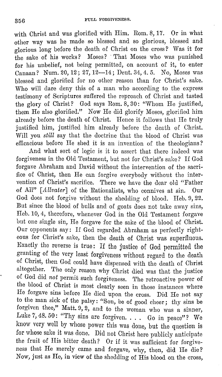with Christ and was glorified with Him. Rom. 8, 17. Or in what other way was he made so blessed and so glorious, blessed and glorious long before the death of Christ on the cross? Was it for the sake of his works? Moses? · That Moses who was punished for his unbelief, not being permitted, on account of it, to enter Canaan? Num. 20, 12; 27, 12-14; Dent. 34,4. 5. No, Moses was blessed and glorified for no other reason than for Christ's sake. Who will dare deny this of a man who according to the express testimony of Scriptures suffered the reproach of Christ and tasted the glory of Christ? God says Rom. 8, 30: "Whom He justified, them He also glorified." Now He did glorify Moses, glorified him already before the death of Christ. Hence it follows that IIe truly justified him, justified him already before the death of Christ. Will you *still* say that the doctrine that the blood of Christ was efficacious before He shed it is au invention of the theologians?

And what sort of logic is it to assert that there indeed was forgiveness in the Old Testament, but not for Christ's sake? If God forgave Abraham and David without the intervention of the sacrifice of Christ, then He can forgive everybody without the intervention of Christ's sacrifice. There we have the dear old "Father of All" *[Allvater]* of the Rationalists, who connives at sin. Our God does not forgive without the shedding of blood. Heb. 9, 22. But since the blood of bulls and of goats does not take away sins, Heb. 10, 4, therefore, whenever God in the Old Testament forgave but one single sin, He forgave for the sake of the blood of Christ. Our opponents say: If God regarded Abraham as perfectly righteous for Christ's sake, then the death of Christ was superfluous. Exactly the reverse is true: If the justice of God permitted the granting of the very least forgiveness without regard to the death of Christ, then God could have dispensed with the death of Christ altogether. The only reason why Christ died was that the justice of God did not permit such forgiveness. The retroactive power of the blood of Christ is most clearly seen in those instances where He forgave sins before He died upon the cross. Did He not say to the man sick of tho palsy : "Son, be of good cheer ; thy sins be forgiven thee," Matt.  $9, 2$ , and to the woman who was a sinner, Luke 7, 48. 50: "Thy sins are forgiven. . . . Go in peace"? We know very well by whose power this was done, but the question is for whose sake it was done. Did not Christ here publicly anticipate the fruit of His bitter death? Or if it was sufficient for forgiveness that He merely came and forgave, why, then, did He die? Now, just as He, in view of the shedding of His blood on the cross,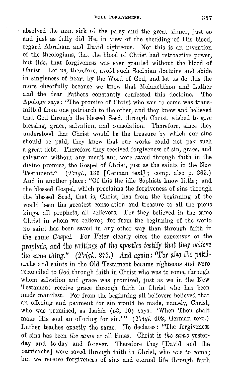absolved the man sick of the palsy and the great sinner, just so and just as fully did He, in view of the shedding of His blood, regard Abraham and David righteous. Not this is an invention of the theologians, that the blood of Christ had retroactive power, but this, that forgiveness was ever granted without the blood of Christ. Let us, therefore, avoid such Socinian doctrine and abide in singleness of heart by the Word of God, and let us do this the more cheerfully because we know that Melanchthon and Luther and the dear Fathers constantly confessed this doctrine. The Apology says : "The promise of Christ who was to come was transmitted from one patriarch to the other, aml they knew and believed that God through the blessed Seed, through Christ, wished to give blessing, grace, salvation, and consolation. Therefore, since they understood that Christ would be the treasure by which our sins should be paid, they knew that our works could not pay such a great debt. 'l'herefore they received forgiveness of sin, grace, and salvation without any merit and were saved through faith in the divine promise, the Gospel of Christ, just as the saints in the New Testament." (Trigl., 13G [German text]; comp. also p. 265.) And in another place: "Of this the idle Sophists know little; and the blessed Gospel, which proclaims the forgiveness of sins through the blessed Seed, that is, Christ, has from the beginning of the world been the greatest consolation and treasure to all the pious kings, all prophets, all believers. For they believed in the same Christ in whom we believe; for from the beginning of the world no saint has been saved in any other way than through faith in the same Gospel. For Peter clearly cites the consensus of the prophets, and the writings of the apostles testify that they believe the same thing." *(Trigl., 273.)* And again: "For also the patri-<br>archs and saints in the Old Testament became righteous and were reconciled to God through faith in Christ who was to come, through whom salvation and grace was promised, just as we in the New 'l'estament receive grace through faith in Christ who has been made manifest. For from the beginning all believers believed that an offering and payment for sin would be made, namely, Christ, who was promised, as Isaiah (53, 10) says: 'When Thou shalt make His soul an offering for sin.'" (Trigl. 402, German text.) Luther teaches exactly the same. He declares: "The forgiveness or sins has been *the sarne* at all times. Christ is *the same* yesterday and to-day and forever. Therefore they [David and the patriarchs] were saved through faith in Christ, who was to come; but we receive forgiveness of sins and eternal life through faith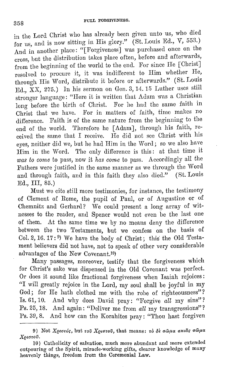in the Lord Christ who has already been given unto us, who died for us, and is now sitting in His glory." (St. Louis Ed., V, 553.) And in another place: "[Forgiveness] was purchased once on the cross, but the distribution takes place often, before and afterwards, from the beginning of the world to the end. For since He [Christ] resolved to procure it, it was indifferent to Him whether He, through His Word, distribute it before or afterwards." (St. Louis Ed.,  $\overline{X}X$ , 275.) In his sermon on Gen. 3, 14. 15 Luther uses still stronger language: "Here it is written that Adam was a Christian long before the birth of Christ. For he had the same faith in Christ that we have. For in matters of faith, time makes no difference. Faith is of the same nature from the beginning to the end of the world. 'fherefore he [Adam], through his faith, received the same that I receive. He did not see Christ with his eyes, neither did we, but he had Him in the Word; so we also have Him in the Word. The only difference is this: at that time it *was to corne* to pass, now it *has corne* to pass. Accordingly all the Fathers were justified in the same manner as we through the Word and through faith, and in this faith they also died." (St. Louis Ed., III, 85.)

Must we cite still more testimonies, for instance, the testimony of Clement of Rome, the pupil of Paul, or of Augustine or of Chemnitz and Gerhard? We could present a long array of witnesses to the reader, and Spener would not even be the last one of them. At the same time we by no means deny the difference between the two Testaments, but we confess on the basis of Col. 2, 16. 17: 9) We have the body of Christ; this the Old Testament believers did not have, not to speak of other very considerable advantages of the New Covenant.10)

Many passages, moreover, testify that the forgiveness which for Christ's sake was dispensed in the Old Covenant was perfect. Or does it sound like fractional forgiveness when Isaiah rejoices: "I will greatly rejoice in the Lord, my soul shall be joyful in my God; for He hath clothed me with the robe of righteousness"? Is. 61, 10. And why does David pray: "Forgive *all* my sins"? Ps. 25, 18. And again: "Deliver me from *all* my transgressions"? Ps. 39, 8. And how can the Korahites pray: '"l'hou hast forgiven

<sup>9)</sup> Not *Xριστός*, but τοῦ *Xριστοῦ*, that means: τὸ δὲ σῶμα σκιᾶς σῶμα *Xew,ov.* 

<sup>10)</sup> Catholicity of salvation, much more abundant and more extended outpouring of the Spirit, miracle-working gifts, clearer knowledge of many heavenly things, freedom from the Ceremonial Law.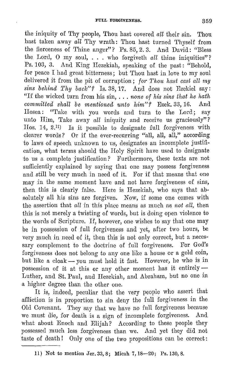the iniquity of Thy people, Thou hast covered *all* their sin. Thou hast taken away *all* Thy wrath: Thou hast turned Thyself from the fierceness of Thine anger"? Ps. 85, 2.3. And David: "Bless the Lord, 0 my soul, ... who forgiveth *all* thine iniquities"? Ps. 103, 3. And King Hezekiah, speaking of the past: "Behold, for peace I had great bitterness; but Thou hast in love to my soul delivered it from the pit of corruption; *for Thou hast cast all my sins behind Thy back"?* Is. 38, 17. And does not Ezekiel say: "If the wicked turn from his sin, ... *none of his sins that he hath committed shall be mentioned unto him"?* Ezek. 33, 16. Hosea: "Take with you words and turn to the Lord; say unto Him, Take away *all* iniquity and receive us graciously"? Hos. 14, 2.11) Is it possible to designate full forgiveness with clearer words? Or if the ever-recurring "all, all, all," according to laws of speech unknown to us, designates an incomplete justification, what terms should the Holy Spirit have used to designate to us a complete justification? Furthermore, these texts are not sufficiently explained by saying that one may possess forgiveness and still be very much in need of it. For if that means that one may in the same moment have and not have forgiveness of sins, then this is clearly false. Here is Hezekiah, who says that absolutely all his sins are forgiven. Now, if some one comes with the assertion that *all* in this place means as much as *not all,* then this is not merely a twisting of words, but is doing open violence to the words of Scripture. If, however, one wishes to say that one may be in possession of foll forgiveness and yet, after two hours, be very much in need of it, then this is not only correct, but a necessary complement to the doctrine of full forgiveness. For God's forgiveness docs not belong to any one like a house or a gold coin, but like a cloak - you must hold it fast. However, he who is in possession of it at this or any other moment has it entirely  $-$ Luther, and St. Paul, and Hezekiah, and Abraham, but no one in a higher degree than the other one.

It is, indeed, peculiar that the very people who assert that aflliction is in proportion to sin deny the full forgiveness in the Old Covenant. 'l'hey say that we have no full forgiveness because we must die, for death is a sign of incomplete forgiveness. And what about Enoch and Elijah? According to these people they possessed much less forgiveness than we. And yet they did not taste of death! Only one of the two propositions can be correct:

<sup>11)</sup> Not to mention Jer.33,8; Micah 7,18-20; Ps.130,8.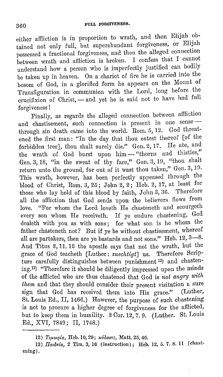either affliction is in proportion to wrath, and then Elijah obtained not only full, but superabundant forgiveness, or Elijah possessed a fractional forgiveness, and then the alleged connection between wrath and affliction is broken. I confess that I cannot understand how a person who is imperfectly justified can bodily be taken up in heaven. On a chariot of fire he is carried into the bosom of God, in a glorified form he appears on the Mount of 'rransfiguration in communion with the Lord, long before the crucifixion of Christ, - and yet he is said not to have had full forgiveness!

Finally, as regards the alleged connection between aflliction and chastisement, such connection is present in one sense -through sin death came into the world. Rom. 5, 12. God threatened the first man: "In the day that thou eatest thereof [of the forbidden tree], thou shalt surely die." Gen. 2, 17. He ate, and the wrath of God burst upon him - "thorns and thistles," Gen. 3, 18, "in the sweat of thy face," Gen. 3, 19, "thou shalt return unto the ground, for out of it wast thou taken," Gen. 3, 19. This wrath, however, has been perfectly appeased through the blood of Christ, Rom. 3, 25; John 2, 2; Heb. 2, 17, at least for those who lay hold of this blood by faith, John 3, 36. Therefore all the aflliction that God sends upon the believers flows from love. "For whom the Lord loveth He chasteneth and scourgeth every son whom He receiveth. If ye endure chastening, God dealeth with you as with sons; for what son is he whom the father chasteneth not? But if ye be without chastisement, whereof all are partakers, then are ye bastards and not sons." Heb. 12, 3-8. And Titus 2, 11. 12 the apostle says that not the wrath, but the grace of God teacheth [Luther: *zuechtigt]* us. Therefore Scripture carefully distinguishes between punishment 12) and chastening.13) "Therefore it should be diligently impressed upon the minds of the afflicted who are thus chastened that God is *not angry with them* and that they should consider their present visitation a sure sign that God has received them into His grace." (Luther, St. Louis Ed., II, 1466.) However, the purpose of such chastening is not to procure a higher degree of forgiveness for the afflicted, but to keep them in humility. 2 Cor. 12, 7. 9. (Luther. St. Louis Ed., XVI, 7849; II, 1748.)

<sup>12)</sup> *Τιμωρία*, *Heb. 10, 29; κόλασις*, *Matt. 25, 46.* 

<sup>13)</sup> *Παιδεία*, 2 Tim. 3, 16 (instruction); Heb. 12, 5.7.8.11 (chastening).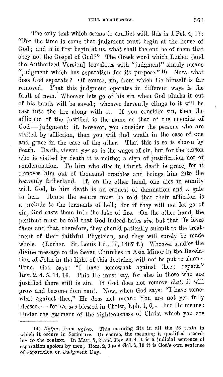The only text which seems to conflict with this is 1 Pet. 4, 17: "For the time is come that judgment must begin at the house of God; and if it first begin at us, what shall the end be of them that obey not the Gospel of God?" The Greek word which Luther [and the Authorized Version] translates with "judgment" simply means "judgment which has separation for its purpose."<sup>14</sup>) Now, what does God separate? Of course, sin, from which He himself is far removed. That this judgment operates in different ways is the fault of men. Whoever lets go of his sin when God plucks it out of his hands will be saved; whoever fervently clings to it will be cast into the fire along with it. If you consider sin, then the afiliction of the justified is the same as that of the enemies of God - judgment; if, however, you consider the persons who are visited by affliction, then you will find wrath in the case of one and grace in the case of the other. That this is so is shown by death. Death, viewed *per se,* is the wages of sin, but for the person who is visited by death it is neither a sign of justification nor of condemnation. To him who dies in Christ, death is grace, for it removes him out of thousand troubles and brings him into the heavenly fatherland. If, on the other hand, one dies in enmity with God, to him death is an earnest of damnation and a gate to hell. Hence the secure must be told that their affliction is a prelude to the torments of hell; for if they will not let go of sin, God casts them into the lake of fire. On the other hand, the penitent must be told. that God indeed hates *sin,* but that He loves *thcrn* and that, therefore, they should patiently submit to the treatment of their faithful Physician, and they will surely be made whole. (Luther. St. Louis Ed., II,  $1467 f$ .) Whoever studies the divine message to the Seven Churches in Asia Minor in the Revelation of John in the light of this doctrine, will not be put to shame. 'l'rue, God says: "I have somewhat against thee; repent." Rev. 2, 4. 5. 14. 16. This He must say, for also in those who are justified there still is sin. If God does not remove that, it will grow and become dominant. Now, when God says: "I have somewhat against thee," He does not mean: You are not yet fully blessed, - for we *are* blessed in Christ, Eph. 1, 6, - but He means: Under the garment of the righteousness of Christ which you are

<sup>14)</sup>  $K\varrho\tilde{\iota}\mu\alpha$ , from  $\kappa\varrho\iota\nu\alpha$ . This meaning fits in all the 28 texts in which it occurs in Scripture. Of course, the meaning is qualified according to the context. In Matt. 7, 2 and Rev. 20, 4 it is a judicial sentence of separation spoken by men; Rom. 2, 3 and Gal. 5, 10 it is God's own sentence of separation on Judgment Day.